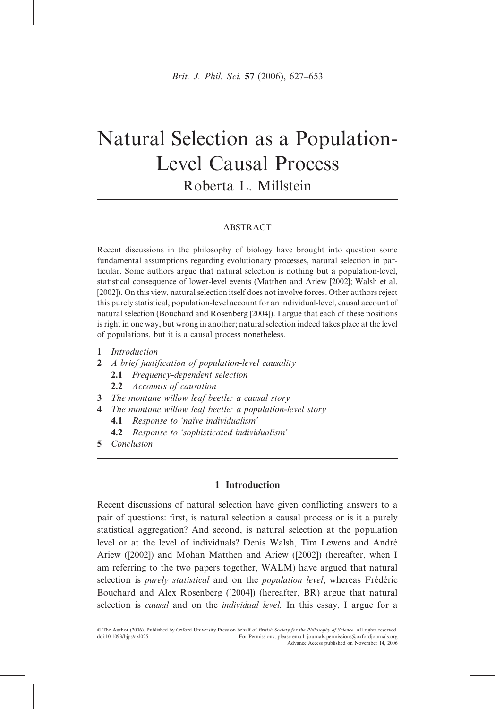# Natural Selection as a Population-Level Causal Process Roberta L. Millstein

#### ABSTRACT

Recent discussions in the philosophy of biology have brought into question some fundamental assumptions regarding evolutionary processes, natural selection in particular. Some authors argue that natural selection is nothing but a population-level, statistical consequence of lower-level events (Matthen and Ariew [2002]; Walsh et al. [2002]). On this view, natural selection itself does not involve forces. Other authors reject this purely statistical, population-level account for an individual-level, causal account of natural selection (Bouchard and Rosenberg [2004]). I argue that each of these positions is right in one way, but wrong in another; natural selection indeed takes place at the level of populations, but it is a causal process nonetheless.

- 1 Introduction
- 2 A brief justification of population-level causality
	- 2.1 Frequency-dependent selection
	- 2.2 Accounts of causation
- 3 The montane willow leaf beetle: a causal story
- 4 The montane willow leaf beetle: a population-level story
	- 4.1 Response to 'naïve individualism'
	- 4.2 Response to 'sophisticated individualism'
- 5 Conclusion

#### 1 Introduction

Recent discussions of natural selection have given conflicting answers to a pair of questions: first, is natural selection a causal process or is it a purely statistical aggregation? And second, is natural selection at the population level or at the level of individuals? Denis Walsh, Tim Lewens and André Ariew ([2002]) and Mohan Matthen and Ariew ([2002]) (hereafter, when I am referring to the two papers together, WALM) have argued that natural selection is *purely statistical* and on the *population level*, whereas Frédéric Bouchard and Alex Rosenberg ([2004]) (hereafter, BR) argue that natural selection is *causal* and on the *individual level*. In this essay, I argue for a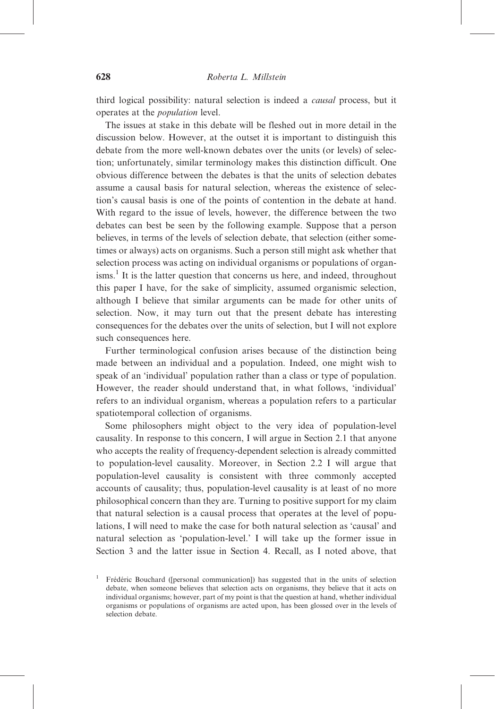third logical possibility: natural selection is indeed a causal process, but it operates at the population level.

The issues at stake in this debate will be fleshed out in more detail in the discussion below. However, at the outset it is important to distinguish this debate from the more well-known debates over the units (or levels) of selection; unfortunately, similar terminology makes this distinction difficult. One obvious difference between the debates is that the units of selection debates assume a causal basis for natural selection, whereas the existence of selection's causal basis is one of the points of contention in the debate at hand. With regard to the issue of levels, however, the difference between the two debates can best be seen by the following example. Suppose that a person believes, in terms of the levels of selection debate, that selection (either sometimes or always) acts on organisms. Such a person still might ask whether that selection process was acting on individual organisms or populations of organ $i$ sms.<sup>1</sup> It is the latter question that concerns us here, and indeed, throughout this paper I have, for the sake of simplicity, assumed organismic selection, although I believe that similar arguments can be made for other units of selection. Now, it may turn out that the present debate has interesting consequences for the debates over the units of selection, but I will not explore such consequences here.

Further terminological confusion arises because of the distinction being made between an individual and a population. Indeed, one might wish to speak of an 'individual' population rather than a class or type of population. However, the reader should understand that, in what follows, 'individual' refers to an individual organism, whereas a population refers to a particular spatiotemporal collection of organisms.

Some philosophers might object to the very idea of population-level causality. In response to this concern, I will argue in Section 2.1 that anyone who accepts the reality of frequency-dependent selection is already committed to population-level causality. Moreover, in Section 2.2 I will argue that population-level causality is consistent with three commonly accepted accounts of causality; thus, population-level causality is at least of no more philosophical concern than they are. Turning to positive support for my claim that natural selection is a causal process that operates at the level of populations, I will need to make the case for both natural selection as 'causal' and natural selection as 'population-level.' I will take up the former issue in Section 3 and the latter issue in Section 4. Recall, as I noted above, that

<sup>1</sup> Fre´de´ric Bouchard ([personal communication]) has suggested that in the units of selection debate, when someone believes that selection acts on organisms, they believe that it acts on individual organisms; however, part of my point is that the question at hand, whether individual organisms or populations of organisms are acted upon, has been glossed over in the levels of selection debate.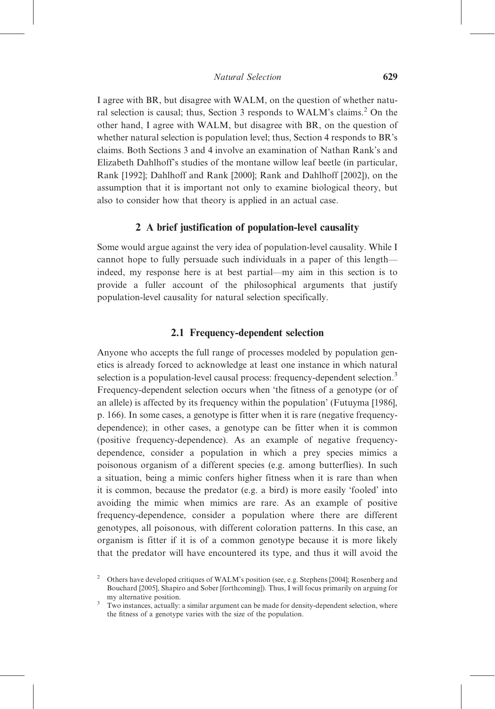I agree with BR, but disagree with WALM, on the question of whether natural selection is causal; thus, Section 3 responds to WALM's claims.<sup>2</sup> On the other hand, I agree with WALM, but disagree with BR, on the question of whether natural selection is population level; thus, Section 4 responds to BR's claims. Both Sections 3 and 4 involve an examination of Nathan Rank's and Elizabeth Dahlhoff's studies of the montane willow leaf beetle (in particular, Rank [1992]; Dahlhoff and Rank [2000]; Rank and Dahlhoff [2002]), on the assumption that it is important not only to examine biological theory, but also to consider how that theory is applied in an actual case.

#### 2 A brief justification of population-level causality

Some would argue against the very idea of population-level causality. While I cannot hope to fully persuade such individuals in a paper of this length indeed, my response here is at best partial—my aim in this section is to provide a fuller account of the philosophical arguments that justify population-level causality for natural selection specifically.

## 2.1 Frequency-dependent selection

Anyone who accepts the full range of processes modeled by population genetics is already forced to acknowledge at least one instance in which natural selection is a population-level causal process: frequency-dependent selection.<sup>3</sup> Frequency-dependent selection occurs when 'the fitness of a genotype (or of an allele) is affected by its frequency within the population' (Futuyma [1986], p. 166). In some cases, a genotype is fitter when it is rare (negative frequencydependence); in other cases, a genotype can be fitter when it is common (positive frequency-dependence). As an example of negative frequencydependence, consider a population in which a prey species mimics a poisonous organism of a different species (e.g. among butterflies). In such a situation, being a mimic confers higher fitness when it is rare than when it is common, because the predator (e.g. a bird) is more easily 'fooled' into avoiding the mimic when mimics are rare. As an example of positive frequency-dependence, consider a population where there are different genotypes, all poisonous, with different coloration patterns. In this case, an organism is fitter if it is of a common genotype because it is more likely that the predator will have encountered its type, and thus it will avoid the

<sup>&</sup>lt;sup>2</sup> Others have developed critiques of WALM's position (see, e.g. Stephens [2004]; Rosenberg and Bouchard [2005], Shapiro and Sober [forthcoming]). Thus, I will focus primarily on arguing for

<sup>&</sup>lt;sup>3</sup> Two instances, actually: a similar argument can be made for density-dependent selection, where the fitness of a genotype varies with the size of the population.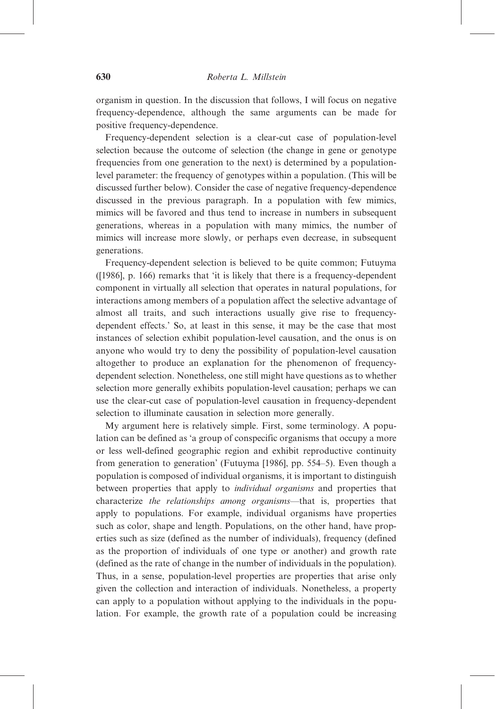organism in question. In the discussion that follows, I will focus on negative frequency-dependence, although the same arguments can be made for positive frequency-dependence.

Frequency-dependent selection is a clear-cut case of population-level selection because the outcome of selection (the change in gene or genotype frequencies from one generation to the next) is determined by a populationlevel parameter: the frequency of genotypes within a population. (This will be discussed further below). Consider the case of negative frequency-dependence discussed in the previous paragraph. In a population with few mimics, mimics will be favored and thus tend to increase in numbers in subsequent generations, whereas in a population with many mimics, the number of mimics will increase more slowly, or perhaps even decrease, in subsequent generations.

Frequency-dependent selection is believed to be quite common; Futuyma ([1986], p. 166) remarks that 'it is likely that there is a frequency-dependent component in virtually all selection that operates in natural populations, for interactions among members of a population affect the selective advantage of almost all traits, and such interactions usually give rise to frequencydependent effects.' So, at least in this sense, it may be the case that most instances of selection exhibit population-level causation, and the onus is on anyone who would try to deny the possibility of population-level causation altogether to produce an explanation for the phenomenon of frequencydependent selection. Nonetheless, one still might have questions as to whether selection more generally exhibits population-level causation; perhaps we can use the clear-cut case of population-level causation in frequency-dependent selection to illuminate causation in selection more generally.

My argument here is relatively simple. First, some terminology. A population can be defined as 'a group of conspecific organisms that occupy a more or less well-defined geographic region and exhibit reproductive continuity from generation to generation' (Futuyma [1986], pp. 554–5). Even though a population is composed of individual organisms, it is important to distinguish between properties that apply to individual organisms and properties that characterize the relationships among organisms—that is, properties that apply to populations. For example, individual organisms have properties such as color, shape and length. Populations, on the other hand, have properties such as size (defined as the number of individuals), frequency (defined as the proportion of individuals of one type or another) and growth rate (defined as the rate of change in the number of individuals in the population). Thus, in a sense, population-level properties are properties that arise only given the collection and interaction of individuals. Nonetheless, a property can apply to a population without applying to the individuals in the population. For example, the growth rate of a population could be increasing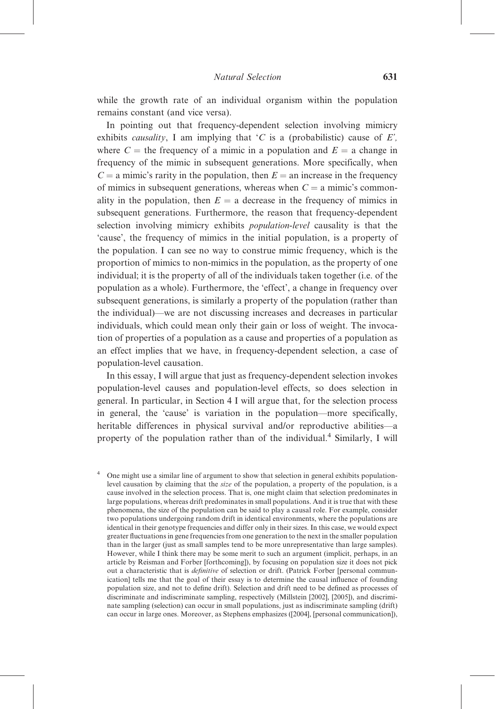while the growth rate of an individual organism within the population remains constant (and vice versa).

In pointing out that frequency-dependent selection involving mimicry exhibits *causality*, I am implying that  $\mathcal{C}$  is a (probabilistic) cause of E', where  $C =$  the frequency of a mimic in a population and  $E =$  a change in frequency of the mimic in subsequent generations. More specifically, when  $C = a$  mimic's rarity in the population, then  $E = a$ n increase in the frequency of mimics in subsequent generations, whereas when  $C = a$  mimic's commonality in the population, then  $E = a$  decrease in the frequency of mimics in subsequent generations. Furthermore, the reason that frequency-dependent selection involving mimicry exhibits population-level causality is that the 'cause', the frequency of mimics in the initial population, is a property of the population. I can see no way to construe mimic frequency, which is the proportion of mimics to non-mimics in the population, as the property of one individual; it is the property of all of the individuals taken together (i.e. of the population as a whole). Furthermore, the 'effect', a change in frequency over subsequent generations, is similarly a property of the population (rather than the individual)—we are not discussing increases and decreases in particular individuals, which could mean only their gain or loss of weight. The invocation of properties of a population as a cause and properties of a population as an effect implies that we have, in frequency-dependent selection, a case of population-level causation.

In this essay, I will argue that just as frequency-dependent selection invokes population-level causes and population-level effects, so does selection in general. In particular, in Section 4 I will argue that, for the selection process in general, the 'cause' is variation in the population—more specifically, heritable differences in physical survival and/or reproductive abilities—a property of the population rather than of the individual.<sup>4</sup> Similarly, I will

<sup>4</sup> One might use a similar line of argument to show that selection in general exhibits populationlevel causation by claiming that the size of the population, a property of the population, is a cause involved in the selection process. That is, one might claim that selection predominates in large populations, whereas drift predominates in small populations. And it is true that with these phenomena, the size of the population can be said to play a causal role. For example, consider two populations undergoing random drift in identical environments, where the populations are identical in their genotype frequencies and differ only in their sizes. In this case, we would expect greater fluctuations in gene frequencies from one generation to the next in the smaller population than in the larger (just as small samples tend to be more unrepresentative than large samples). However, while I think there may be some merit to such an argument (implicit, perhaps, in an article by Reisman and Forber [forthcoming]), by focusing on population size it does not pick out a characteristic that is definitive of selection or drift. (Patrick Forber [personal communication] tells me that the goal of their essay is to determine the causal influence of founding population size, and not to define drift). Selection and drift need to be defined as processes of discriminate and indiscriminate sampling, respectively (Millstein [2002], [2005]), and discriminate sampling (selection) can occur in small populations, just as indiscriminate sampling (drift) can occur in large ones. Moreover, as Stephens emphasizes ([2004], [personal communication]),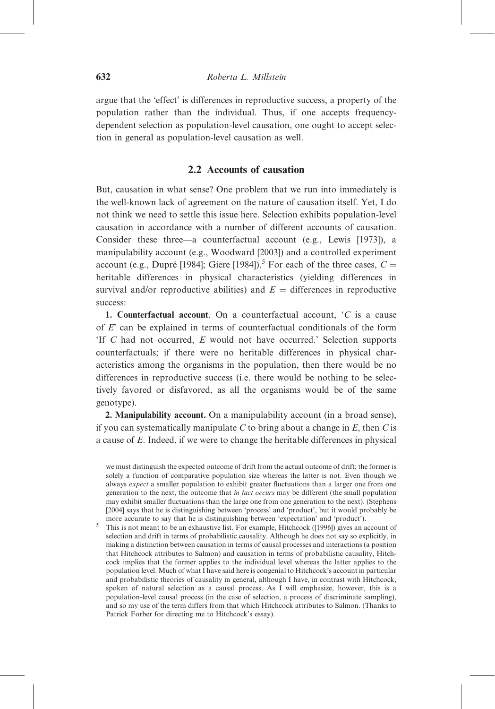argue that the 'effect' is differences in reproductive success, a property of the population rather than the individual. Thus, if one accepts frequencydependent selection as population-level causation, one ought to accept selection in general as population-level causation as well.

# 2.2 Accounts of causation

But, causation in what sense? One problem that we run into immediately is the well-known lack of agreement on the nature of causation itself. Yet, I do not think we need to settle this issue here. Selection exhibits population-level causation in accordance with a number of different accounts of causation. Consider these three—a counterfactual account (e.g., Lewis [1973]), a manipulability account (e.g., Woodward [2003]) and a controlled experiment account (e.g., Dupré [1984]; Giere [1984]).<sup>5</sup> For each of the three cases,  $C =$ heritable differences in physical characteristics (yielding differences in survival and/or reproductive abilities) and  $E =$  differences in reproductive success:

1. Counterfactual account. On a counterfactual account,  $C$  is a cause of E' can be explained in terms of counterfactual conditionals of the form 'If C had not occurred, E would not have occurred.' Selection supports counterfactuals; if there were no heritable differences in physical characteristics among the organisms in the population, then there would be no differences in reproductive success (i.e. there would be nothing to be selectively favored or disfavored, as all the organisms would be of the same genotype).

2. Manipulability account. On a manipulability account (in a broad sense), if you can systematically manipulate  $C$  to bring about a change in  $E$ , then  $C$  is a cause of E. Indeed, if we were to change the heritable differences in physical

more accurate to say that he is distinguishing between 'expectation' and 'product').<br><sup>5</sup> This is not meant to be an exhaustive list. For example, Hitchcock ([1996]) gives an account of selection and drift in terms of probabilistic causality. Although he does not say so explicitly, in making a distinction between causation in terms of causal processes and interactions (a position that Hitchcock attributes to Salmon) and causation in terms of probabilistic causality, Hitchcock implies that the former applies to the individual level whereas the latter applies to the population level. Much of what I have said here is congenial to Hitchcock's account in particular and probabilistic theories of causality in general, although I have, in contrast with Hitchcock, spoken of natural selection as a causal process. As I will emphasize, however, this is a population-level causal process (in the case of selection, a process of discriminate sampling), and so my use of the term differs from that which Hitchcock attributes to Salmon. (Thanks to Patrick Forber for directing me to Hitchcock's essay).

we must distinguish the expected outcome of drift from the actual outcome of drift; the former is solely a function of comparative population size whereas the latter is not. Even though we always expect a smaller population to exhibit greater fluctuations than a larger one from one generation to the next, the outcome that in fact occurs may be different (the small population may exhibit smaller fluctuations than the large one from one generation to the next). (Stephens [2004] says that he is distinguishing between 'process' and 'product', but it would probably be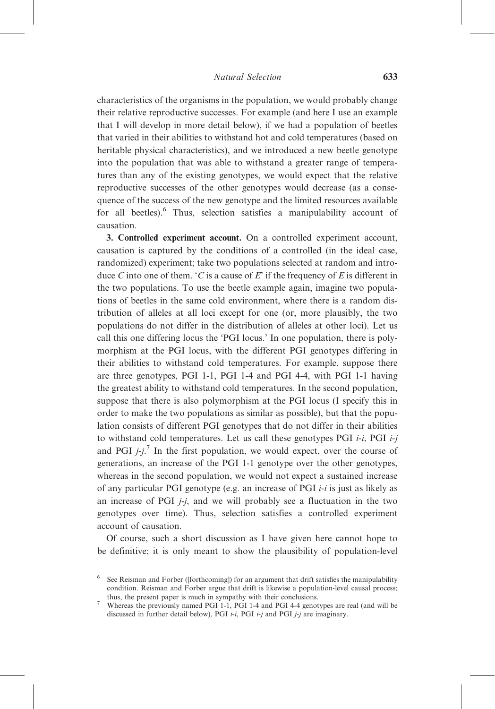characteristics of the organisms in the population, we would probably change their relative reproductive successes. For example (and here I use an example that I will develop in more detail below), if we had a population of beetles that varied in their abilities to withstand hot and cold temperatures (based on heritable physical characteristics), and we introduced a new beetle genotype into the population that was able to withstand a greater range of temperatures than any of the existing genotypes, we would expect that the relative reproductive successes of the other genotypes would decrease (as a consequence of the success of the new genotype and the limited resources available for all beetles).<sup>6</sup> Thus, selection satisfies a manipulability account of causation.

3. Controlled experiment account. On a controlled experiment account, causation is captured by the conditions of a controlled (in the ideal case, randomized) experiment; take two populations selected at random and introduce C into one of them. 'C is a cause of  $E$ ' if the frequency of E is different in the two populations. To use the beetle example again, imagine two populations of beetles in the same cold environment, where there is a random distribution of alleles at all loci except for one (or, more plausibly, the two populations do not differ in the distribution of alleles at other loci). Let us call this one differing locus the 'PGI locus.' In one population, there is polymorphism at the PGI locus, with the different PGI genotypes differing in their abilities to withstand cold temperatures. For example, suppose there are three genotypes, PGI 1-1, PGI 1-4 and PGI 4-4, with PGI 1-1 having the greatest ability to withstand cold temperatures. In the second population, suppose that there is also polymorphism at the PGI locus (I specify this in order to make the two populations as similar as possible), but that the population consists of different PGI genotypes that do not differ in their abilities to withstand cold temperatures. Let us call these genotypes PGI  $i-i$ , PGI  $i-j$ and PGI  $j-j$ .<sup>7</sup> In the first population, we would expect, over the course of generations, an increase of the PGI 1-1 genotype over the other genotypes, whereas in the second population, we would not expect a sustained increase of any particular PGI genotype (e.g. an increase of PGI  $i-i$  is just as likely as an increase of PGI  $j-j$ , and we will probably see a fluctuation in the two genotypes over time). Thus, selection satisfies a controlled experiment account of causation.

Of course, such a short discussion as I have given here cannot hope to be definitive; it is only meant to show the plausibility of population-level

 $6\degree$  See Reisman and Forber ([forthcoming]) for an argument that drift satisfies the manipulability condition. Reisman and Forber argue that drift is likewise a population-level causal process; thus, the present paper is much in sympathy with their conclusions.

<sup>&</sup>lt;sup>7</sup> Whereas the previously named PGI 1-1, PGI 1-4 and PGI 4-4 genotypes are real (and will be discussed in further detail below), PGI  $i-i$ , PGI  $i-j$  and PGI  $j-i$  are imaginary.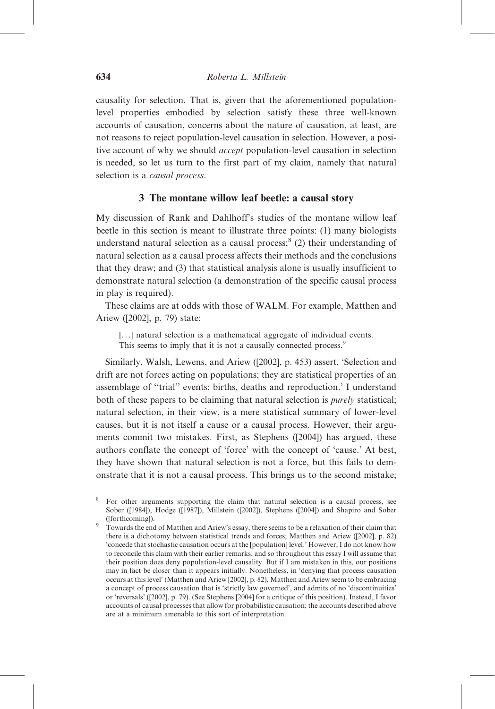causality for selection. That is, given that the aforementioned populationlevel properties embodied by selection satisfy these three well-known accounts of causation, concerns about the nature of causation, at least, are not reasons to reject population-level causation in selection. However, a positive account of why we should accept population-level causation in selection is needed, so let us turn to the first part of my claim, namely that natural selection is a causal process.

## 3 The montane willow leaf beetle: a causal story

My discussion of Rank and Dahlhoff's studies of the montane willow leaf beetle in this section is meant to illustrate three points: (1) many biologists understand natural selection as a causal process;  $8(2)$  their understanding of natural selection as a causal process affects their methods and the conclusions that they draw; and (3) that statistical analysis alone is usually insufficient to demonstrate natural selection (a demonstration of the specific causal process in play is required).

These claims are at odds with those of WALM. For example, Matthen and Ariew ([2002], p. 79) state:

[...] natural selection is a mathematical aggregate of individual events. This seems to imply that it is not a causally connected process.<sup>9</sup>

Similarly, Walsh, Lewens, and Ariew ([2002], p. 453) assert, 'Selection and drift are not forces acting on populations; they are statistical properties of an assemblage of ''trial'' events: births, deaths and reproduction.' I understand both of these papers to be claiming that natural selection is *purely* statistical; natural selection, in their view, is a mere statistical summary of lower-level causes, but it is not itself a cause or a causal process. However, their arguments commit two mistakes. First, as Stephens ([2004]) has argued, these authors conflate the concept of 'force' with the concept of 'cause.' At best, they have shown that natural selection is not a force, but this fails to demonstrate that it is not a causal process. This brings us to the second mistake;

<sup>&</sup>lt;sup>8</sup> For other arguments supporting the claim that natural selection is a causal process, see Sober ([1984]), Hodge ([1987]), Millstein ([2002]), Stephens ([2004]) and Shapiro and Sober

 $^9\;$  Towards the end of Matthen and Ariew's essay, there seems to be a relaxation of their claim that  $^9\;$ there is a dichotomy between statistical trends and forces; Matthen and Ariew ([2002], p. 82) 'concede that stochastic causation occurs at the [population] level.' However, I do not know how to reconcile this claim with their earlier remarks, and so throughout this essay I will assume that their position does deny population-level causality. But if I am mistaken in this, our positions may in fact be closer than it appears initially. Nonetheless, in 'denying that process causation occurs at this level' (Matthen and Ariew [2002], p. 82), Matthen and Ariew seem to be embracing a concept of process causation that is 'strictly law governed', and admits of no 'discontinuities' or 'reversals' ([2002], p. 79). (See Stephens [2004] for a critique of this position). Instead, I favor accounts of causal processes that allow for probabilistic causation; the accounts described above are at a minimum amenable to this sort of interpretation.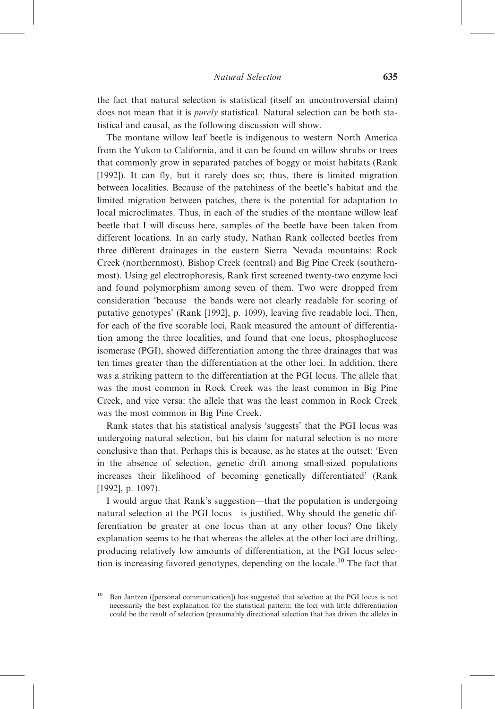the fact that natural selection is statistical (itself an uncontroversial claim) does not mean that it is purely statistical. Natural selection can be both statistical and causal, as the following discussion will show.

The montane willow leaf beetle is indigenous to western North America from the Yukon to California, and it can be found on willow shrubs or trees that commonly grow in separated patches of boggy or moist habitats (Rank [1992]). It can fly, but it rarely does so; thus, there is limited migration between localities. Because of the patchiness of the beetle's habitat and the limited migration between patches, there is the potential for adaptation to local microclimates. Thus, in each of the studies of the montane willow leaf beetle that I will discuss here, samples of the beetle have been taken from different locations. In an early study, Nathan Rank collected beetles from three different drainages in the eastern Sierra Nevada mountains: Rock Creek (northernmost), Bishop Creek (central) and Big Pine Creek (southernmost). Using gel electrophoresis, Rank first screened twenty-two enzyme loci and found polymorphism among seven of them. Two were dropped from consideration 'because the bands were not clearly readable for scoring of putative genotypes' (Rank [1992], p. 1099), leaving five readable loci. Then, for each of the five scorable loci, Rank measured the amount of differentiation among the three localities, and found that one locus, phosphoglucose isomerase (PGI), showed differentiation among the three drainages that was ten times greater than the differentiation at the other loci. In addition, there was a striking pattern to the differentiation at the PGI locus. The allele that was the most common in Rock Creek was the least common in Big Pine Creek, and vice versa: the allele that was the least common in Rock Creek was the most common in Big Pine Creek.

Rank states that his statistical analysis 'suggests' that the PGI locus was undergoing natural selection, but his claim for natural selection is no more conclusive than that. Perhaps this is because, as he states at the outset: 'Even in the absence of selection, genetic drift among small-sized populations increases their likelihood of becoming genetically differentiated' (Rank [1992], p. 1097).

I would argue that Rank's suggestion—that the population is undergoing natural selection at the PGI locus—is justified. Why should the genetic differentiation be greater at one locus than at any other locus? One likely explanation seems to be that whereas the alleles at the other loci are drifting, producing relatively low amounts of differentiation, at the PGI locus selection is increasing favored genotypes, depending on the locale.<sup>10</sup> The fact that

<sup>&</sup>lt;sup>10</sup> Ben Jantzen ([personal communication]) has suggested that selection at the PGI locus is not necessarily the best explanation for the statistical pattern; the loci with little differentiation could be the result of selection (presumably directional selection that has driven the alleles in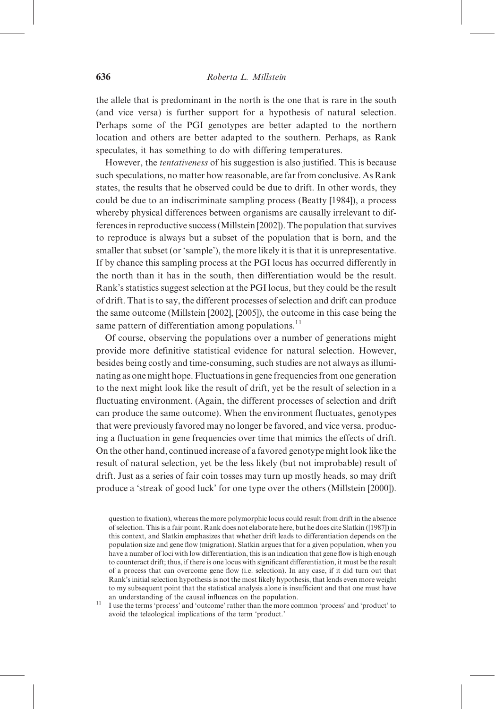the allele that is predominant in the north is the one that is rare in the south (and vice versa) is further support for a hypothesis of natural selection. Perhaps some of the PGI genotypes are better adapted to the northern location and others are better adapted to the southern. Perhaps, as Rank speculates, it has something to do with differing temperatures.

However, the *tentativeness* of his suggestion is also justified. This is because such speculations, no matter how reasonable, are far from conclusive. As Rank states, the results that he observed could be due to drift. In other words, they could be due to an indiscriminate sampling process (Beatty [1984]), a process whereby physical differences between organisms are causally irrelevant to differences in reproductive success (Millstein [2002]). The population that survives to reproduce is always but a subset of the population that is born, and the smaller that subset (or 'sample'), the more likely it is that it is unrepresentative. If by chance this sampling process at the PGI locus has occurred differently in the north than it has in the south, then differentiation would be the result. Rank's statistics suggest selection at the PGI locus, but they could be the result of drift. That is to say, the different processes of selection and drift can produce the same outcome (Millstein [2002], [2005]), the outcome in this case being the same pattern of differentiation among populations. $^{11}$ 

Of course, observing the populations over a number of generations might provide more definitive statistical evidence for natural selection. However, besides being costly and time-consuming, such studies are not always as illuminating as one might hope. Fluctuations in gene frequencies from one generation to the next might look like the result of drift, yet be the result of selection in a fluctuating environment. (Again, the different processes of selection and drift can produce the same outcome). When the environment fluctuates, genotypes that were previously favored may no longer be favored, and vice versa, producing a fluctuation in gene frequencies over time that mimics the effects of drift. On the other hand, continued increase of a favored genotype might look like the result of natural selection, yet be the less likely (but not improbable) result of drift. Just as a series of fair coin tosses may turn up mostly heads, so may drift produce a 'streak of good luck' for one type over the others (Millstein [2000]).

 $11$  I use the terms 'process' and 'outcome' rather than the more common 'process' and 'product' to avoid the teleological implications of the term 'product.'

question to fixation), whereas the more polymorphic locus could result from drift in the absence of selection. This is a fair point. Rank does not elaborate here, but he does cite Slatkin ([1987]) in this context, and Slatkin emphasizes that whether drift leads to differentiation depends on the population size and gene flow (migration). Slatkin argues that for a given population, when you have a number of loci with low differentiation, this is an indication that gene flow is high enough to counteract drift; thus, if there is one locus with significant differentiation, it must be the result of a process that can overcome gene flow (i.e. selection). In any case, if it did turn out that Rank's initial selection hypothesis is not the most likely hypothesis, that lends even more weight to my subsequent point that the statistical analysis alone is insufficient and that one must have an understanding of the causal influences on the population.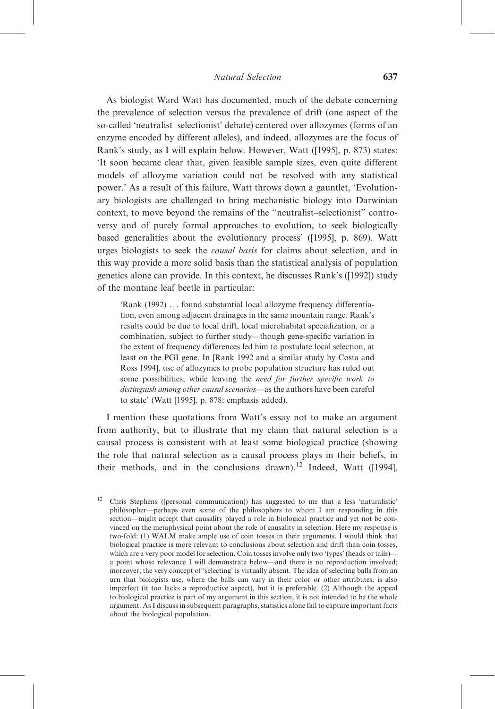As biologist Ward Watt has documented, much of the debate concerning the prevalence of selection versus the prevalence of drift (one aspect of the so-called 'neutralist–selectionist' debate) centered over allozymes (forms of an enzyme encoded by different alleles), and indeed, allozymes are the focus of Rank's study, as I will explain below. However, Watt ([1995], p. 873) states: 'It soon became clear that, given feasible sample sizes, even quite different models of allozyme variation could not be resolved with any statistical power.' As a result of this failure, Watt throws down a gauntlet, 'Evolutionary biologists are challenged to bring mechanistic biology into Darwinian context, to move beyond the remains of the ''neutralist–selectionist'' controversy and of purely formal approaches to evolution, to seek biologically based generalities about the evolutionary process' ([1995], p. 869). Watt urges biologists to seek the causal basis for claims about selection, and in this way provide a more solid basis than the statistical analysis of population genetics alone can provide. In this context, he discusses Rank's ([1992]) study of the montane leaf beetle in particular:

'Rank (1992) ... found substantial local allozyme frequency differentiation, even among adjacent drainages in the same mountain range. Rank's results could be due to local drift, local microhabitat specialization, or a combination, subject to further study—though gene-specific variation in the extent of frequency differences led him to postulate local selection, at least on the PGI gene. In [Rank 1992 and a similar study by Costa and Ross 1994], use of allozymes to probe population structure has ruled out some possibilities, while leaving the need for further specific work to distinguish among other causal scenarios—as the authors have been careful to state' (Watt [1995], p. 878; emphasis added).

I mention these quotations from Watt's essay not to make an argument from authority, but to illustrate that my claim that natural selection is a causal process is consistent with at least some biological practice (showing the role that natural selection as a causal process plays in their beliefs, in their methods, and in the conclusions drawn).<sup>12</sup> Indeed, Watt ([1994],

<sup>12</sup> Chris Stephens ([personal communication]) has suggested to me that a less 'naturalistic' philosopher—perhaps even some of the philosophers to whom I am responding in this section—might accept that causality played a role in biological practice and yet not be convinced on the metaphysical point about the role of causality in selection. Here my response is two-fold: (1) WALM make ample use of coin tosses in their arguments. I would think that biological practice is more relevant to conclusions about selection and drift than coin tosses, which are a very poor model for selection. Coin tosses involve only two 'types' (heads or tails) a point whose relevance I will demonstrate below—and there is no reproduction involved; moreover, the very concept of 'selecting' is virtually absent. The idea of selecting balls from an urn that biologists use, where the balls can vary in their color or other attributes, is also imperfect (it too lacks a reproductive aspect), but it is preferable. (2) Although the appeal to biological practice is part of my argument in this section, it is not intended to be the whole argument. As I discuss in subsequent paragraphs, statistics alone fail to capture important facts about the biological population.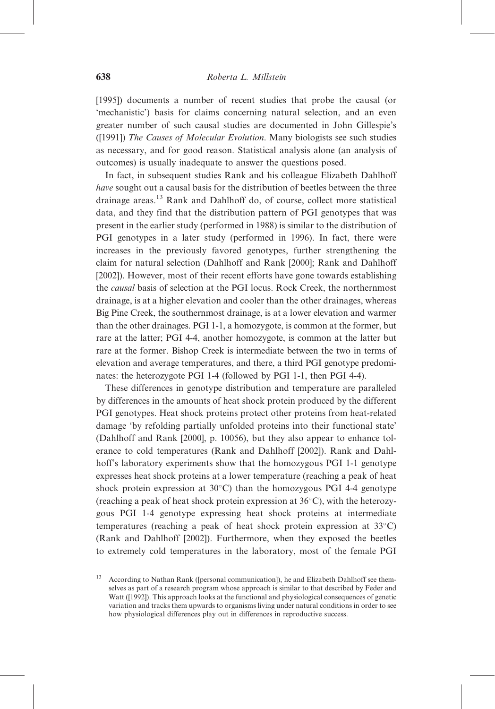[1995]) documents a number of recent studies that probe the causal (or 'mechanistic') basis for claims concerning natural selection, and an even greater number of such causal studies are documented in John Gillespie's ([1991]) The Causes of Molecular Evolution. Many biologists see such studies as necessary, and for good reason. Statistical analysis alone (an analysis of outcomes) is usually inadequate to answer the questions posed.

In fact, in subsequent studies Rank and his colleague Elizabeth Dahlhoff have sought out a causal basis for the distribution of beetles between the three drainage areas.<sup>13</sup> Rank and Dahlhoff do, of course, collect more statistical data, and they find that the distribution pattern of PGI genotypes that was present in the earlier study (performed in 1988) is similar to the distribution of PGI genotypes in a later study (performed in 1996). In fact, there were increases in the previously favored genotypes, further strengthening the claim for natural selection (Dahlhoff and Rank [2000]; Rank and Dahlhoff [2002]). However, most of their recent efforts have gone towards establishing the causal basis of selection at the PGI locus. Rock Creek, the northernmost drainage, is at a higher elevation and cooler than the other drainages, whereas Big Pine Creek, the southernmost drainage, is at a lower elevation and warmer than the other drainages. PGI 1-1, a homozygote, is common at the former, but rare at the latter; PGI 4-4, another homozygote, is common at the latter but rare at the former. Bishop Creek is intermediate between the two in terms of elevation and average temperatures, and there, a third PGI genotype predominates: the heterozygote PGI 1-4 (followed by PGI 1-1, then PGI 4-4).

These differences in genotype distribution and temperature are paralleled by differences in the amounts of heat shock protein produced by the different PGI genotypes. Heat shock proteins protect other proteins from heat-related damage 'by refolding partially unfolded proteins into their functional state' (Dahlhoff and Rank [2000], p. 10056), but they also appear to enhance tolerance to cold temperatures (Rank and Dahlhoff [2002]). Rank and Dahlhoff's laboratory experiments show that the homozygous PGI 1-1 genotype expresses heat shock proteins at a lower temperature (reaching a peak of heat shock protein expression at  $30^{\circ}$ C) than the homozygous PGI 4-4 genotype (reaching a peak of heat shock protein expression at  $36^{\circ}$ C), with the heterozygous PGI 1-4 genotype expressing heat shock proteins at intermediate temperatures (reaching a peak of heat shock protein expression at  $33^{\circ}$ C) (Rank and Dahlhoff [2002]). Furthermore, when they exposed the beetles to extremely cold temperatures in the laboratory, most of the female PGI

<sup>&</sup>lt;sup>13</sup> According to Nathan Rank ([personal communication]), he and Elizabeth Dahlhoff see themselves as part of a research program whose approach is similar to that described by Feder and Watt ([1992]). This approach looks at the functional and physiological consequences of genetic variation and tracks them upwards to organisms living under natural conditions in order to see how physiological differences play out in differences in reproductive success.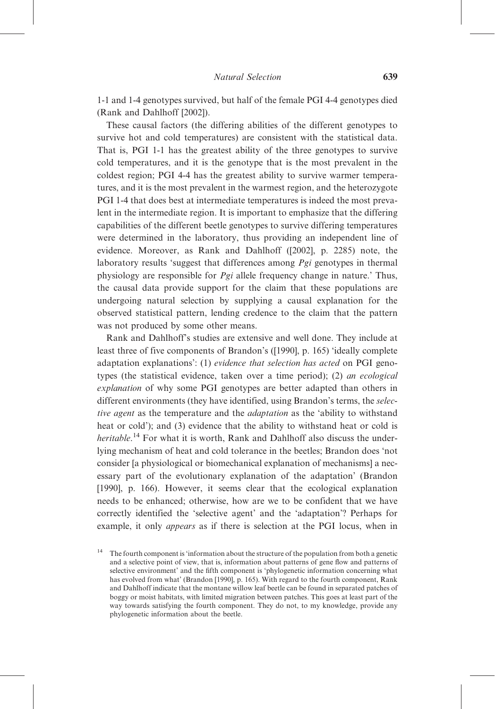1-1 and 1-4 genotypes survived, but half of the female PGI 4-4 genotypes died (Rank and Dahlhoff [2002]).

These causal factors (the differing abilities of the different genotypes to survive hot and cold temperatures) are consistent with the statistical data. That is, PGI 1-1 has the greatest ability of the three genotypes to survive cold temperatures, and it is the genotype that is the most prevalent in the coldest region; PGI 4-4 has the greatest ability to survive warmer temperatures, and it is the most prevalent in the warmest region, and the heterozygote PGI 1-4 that does best at intermediate temperatures is indeed the most prevalent in the intermediate region. It is important to emphasize that the differing capabilities of the different beetle genotypes to survive differing temperatures were determined in the laboratory, thus providing an independent line of evidence. Moreover, as Rank and Dahlhoff ([2002], p. 2285) note, the laboratory results 'suggest that differences among *Pgi* genotypes in thermal physiology are responsible for Pgi allele frequency change in nature.' Thus, the causal data provide support for the claim that these populations are undergoing natural selection by supplying a causal explanation for the observed statistical pattern, lending credence to the claim that the pattern was not produced by some other means.

Rank and Dahlhoff's studies are extensive and well done. They include at least three of five components of Brandon's ([1990], p. 165) 'ideally complete adaptation explanations': (1) evidence that selection has acted on PGI genotypes (the statistical evidence, taken over a time period); (2) an ecological explanation of why some PGI genotypes are better adapted than others in different environments (they have identified, using Brandon's terms, the selective agent as the temperature and the adaptation as the 'ability to withstand heat or cold'); and (3) evidence that the ability to withstand heat or cold is heritable.<sup>14</sup> For what it is worth, Rank and Dahlhoff also discuss the underlying mechanism of heat and cold tolerance in the beetles; Brandon does 'not consider [a physiological or biomechanical explanation of mechanisms] a necessary part of the evolutionary explanation of the adaptation' (Brandon [1990], p. 166). However, it seems clear that the ecological explanation needs to be enhanced; otherwise, how are we to be confident that we have correctly identified the 'selective agent' and the 'adaptation'? Perhaps for example, it only appears as if there is selection at the PGI locus, when in

<sup>14</sup> The fourth component is 'information about the structure of the population from both a genetic and a selective point of view, that is, information about patterns of gene flow and patterns of selective environment' and the fifth component is 'phylogenetic information concerning what has evolved from what' (Brandon [1990], p. 165). With regard to the fourth component, Rank and Dahlhoff indicate that the montane willow leaf beetle can be found in separated patches of boggy or moist habitats, with limited migration between patches. This goes at least part of the way towards satisfying the fourth component. They do not, to my knowledge, provide any phylogenetic information about the beetle.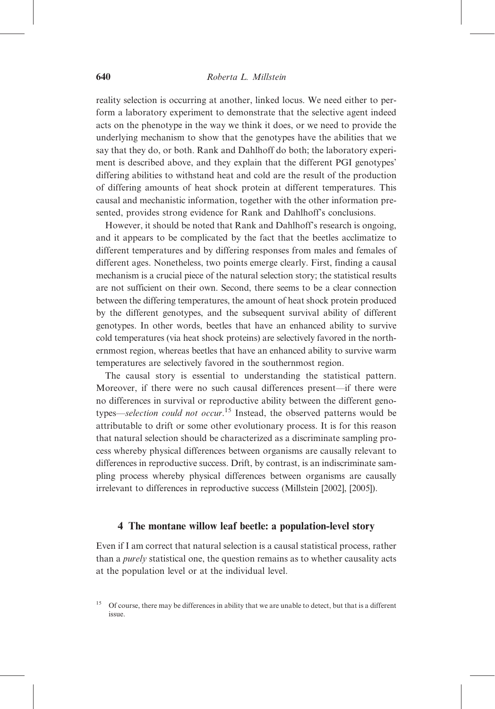reality selection is occurring at another, linked locus. We need either to perform a laboratory experiment to demonstrate that the selective agent indeed acts on the phenotype in the way we think it does, or we need to provide the underlying mechanism to show that the genotypes have the abilities that we say that they do, or both. Rank and Dahlhoff do both; the laboratory experiment is described above, and they explain that the different PGI genotypes' differing abilities to withstand heat and cold are the result of the production of differing amounts of heat shock protein at different temperatures. This causal and mechanistic information, together with the other information presented, provides strong evidence for Rank and Dahlhoff's conclusions.

However, it should be noted that Rank and Dahlhoff's research is ongoing, and it appears to be complicated by the fact that the beetles acclimatize to different temperatures and by differing responses from males and females of different ages. Nonetheless, two points emerge clearly. First, finding a causal mechanism is a crucial piece of the natural selection story; the statistical results are not sufficient on their own. Second, there seems to be a clear connection between the differing temperatures, the amount of heat shock protein produced by the different genotypes, and the subsequent survival ability of different genotypes. In other words, beetles that have an enhanced ability to survive cold temperatures (via heat shock proteins) are selectively favored in the northernmost region, whereas beetles that have an enhanced ability to survive warm temperatures are selectively favored in the southernmost region.

The causal story is essential to understanding the statistical pattern. Moreover, if there were no such causal differences present—if there were no differences in survival or reproductive ability between the different genotypes—selection could not occur.<sup>15</sup> Instead, the observed patterns would be attributable to drift or some other evolutionary process. It is for this reason that natural selection should be characterized as a discriminate sampling process whereby physical differences between organisms are causally relevant to differences in reproductive success. Drift, by contrast, is an indiscriminate sampling process whereby physical differences between organisms are causally irrelevant to differences in reproductive success (Millstein [2002], [2005]).

#### 4 The montane willow leaf beetle: a population-level story

Even if I am correct that natural selection is a causal statistical process, rather than a purely statistical one, the question remains as to whether causality acts at the population level or at the individual level.

<sup>&</sup>lt;sup>15</sup> Of course, there may be differences in ability that we are unable to detect, but that is a different issue.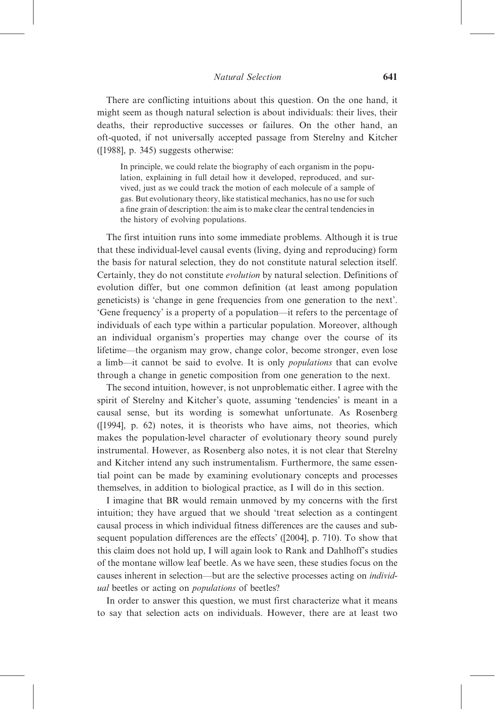There are conflicting intuitions about this question. On the one hand, it might seem as though natural selection is about individuals: their lives, their deaths, their reproductive successes or failures. On the other hand, an oft-quoted, if not universally accepted passage from Sterelny and Kitcher  $(1988]$ , p. 345) suggests otherwise:

In principle, we could relate the biography of each organism in the population, explaining in full detail how it developed, reproduced, and survived, just as we could track the motion of each molecule of a sample of gas. But evolutionary theory, like statistical mechanics, has no use for such a fine grain of description: the aim is to make clear the central tendencies in the history of evolving populations.

The first intuition runs into some immediate problems. Although it is true that these individual-level causal events (living, dying and reproducing) form the basis for natural selection, they do not constitute natural selection itself. Certainly, they do not constitute evolution by natural selection. Definitions of evolution differ, but one common definition (at least among population geneticists) is 'change in gene frequencies from one generation to the next'. 'Gene frequency' is a property of a population—it refers to the percentage of individuals of each type within a particular population. Moreover, although an individual organism's properties may change over the course of its lifetime—the organism may grow, change color, become stronger, even lose a limb—it cannot be said to evolve. It is only populations that can evolve through a change in genetic composition from one generation to the next.

The second intuition, however, is not unproblematic either. I agree with the spirit of Sterelny and Kitcher's quote, assuming 'tendencies' is meant in a causal sense, but its wording is somewhat unfortunate. As Rosenberg ([1994], p. 62) notes, it is theorists who have aims, not theories, which makes the population-level character of evolutionary theory sound purely instrumental. However, as Rosenberg also notes, it is not clear that Sterelny and Kitcher intend any such instrumentalism. Furthermore, the same essential point can be made by examining evolutionary concepts and processes themselves, in addition to biological practice, as I will do in this section.

I imagine that BR would remain unmoved by my concerns with the first intuition; they have argued that we should 'treat selection as a contingent causal process in which individual fitness differences are the causes and subsequent population differences are the effects' ([2004], p. 710). To show that this claim does not hold up, I will again look to Rank and Dahlhoff's studies of the montane willow leaf beetle. As we have seen, these studies focus on the causes inherent in selection—but are the selective processes acting on individual beetles or acting on populations of beetles?

In order to answer this question, we must first characterize what it means to say that selection acts on individuals. However, there are at least two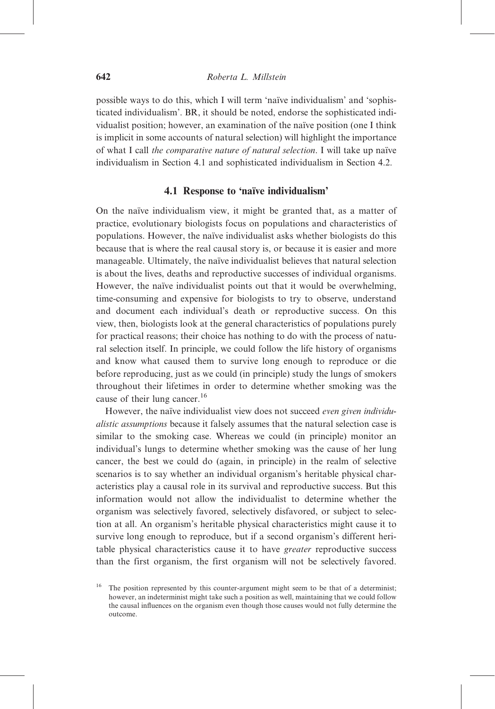possible ways to do this, which I will term 'naïve individualism' and 'sophisticated individualism'. BR, it should be noted, endorse the sophisticated individualist position; however, an examination of the naïve position (one I think is implicit in some accounts of natural selection) will highlight the importance of what I call the comparative nature of natural selection. I will take up naïve individualism in Section 4.1 and sophisticated individualism in Section 4.2.

#### 4.1 Response to 'naïve individualism'

On the naïve individualism view, it might be granted that, as a matter of practice, evolutionary biologists focus on populations and characteristics of populations. However, the naïve individualist asks whether biologists do this because that is where the real causal story is, or because it is easier and more manageable. Ultimately, the naïve individualist believes that natural selection is about the lives, deaths and reproductive successes of individual organisms. However, the naïve individualist points out that it would be overwhelming, time-consuming and expensive for biologists to try to observe, understand and document each individual's death or reproductive success. On this view, then, biologists look at the general characteristics of populations purely for practical reasons; their choice has nothing to do with the process of natural selection itself. In principle, we could follow the life history of organisms and know what caused them to survive long enough to reproduce or die before reproducing, just as we could (in principle) study the lungs of smokers throughout their lifetimes in order to determine whether smoking was the cause of their lung cancer.<sup>16</sup>

However, the naïve individualist view does not succeed even given individualistic assumptions because it falsely assumes that the natural selection case is similar to the smoking case. Whereas we could (in principle) monitor an individual's lungs to determine whether smoking was the cause of her lung cancer, the best we could do (again, in principle) in the realm of selective scenarios is to say whether an individual organism's heritable physical characteristics play a causal role in its survival and reproductive success. But this information would not allow the individualist to determine whether the organism was selectively favored, selectively disfavored, or subject to selection at all. An organism's heritable physical characteristics might cause it to survive long enough to reproduce, but if a second organism's different heritable physical characteristics cause it to have greater reproductive success than the first organism, the first organism will not be selectively favored.

<sup>&</sup>lt;sup>16</sup> The position represented by this counter-argument might seem to be that of a determinist; however, an indeterminist might take such a position as well, maintaining that we could follow the causal influences on the organism even though those causes would not fully determine the outcome.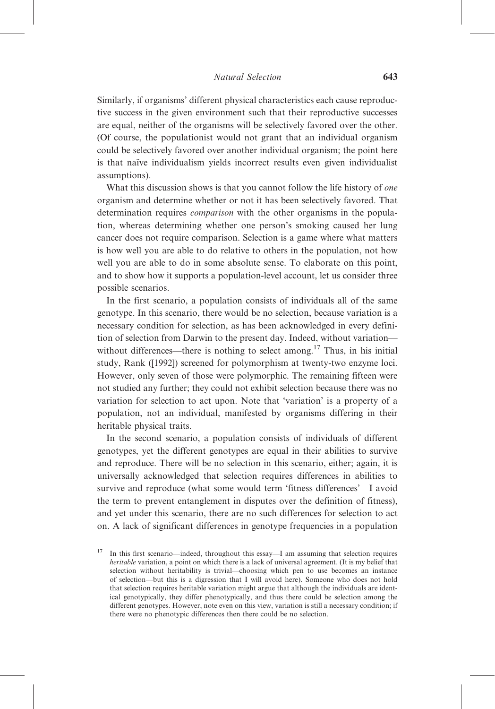Similarly, if organisms' different physical characteristics each cause reproductive success in the given environment such that their reproductive successes are equal, neither of the organisms will be selectively favored over the other. (Of course, the populationist would not grant that an individual organism could be selectively favored over another individual organism; the point here is that naïve individualism vields incorrect results even given individualist assumptions).

What this discussion shows is that you cannot follow the life history of *one* organism and determine whether or not it has been selectively favored. That determination requires *comparison* with the other organisms in the population, whereas determining whether one person's smoking caused her lung cancer does not require comparison. Selection is a game where what matters is how well you are able to do relative to others in the population, not how well you are able to do in some absolute sense. To elaborate on this point, and to show how it supports a population-level account, let us consider three possible scenarios.

In the first scenario, a population consists of individuals all of the same genotype. In this scenario, there would be no selection, because variation is a necessary condition for selection, as has been acknowledged in every definition of selection from Darwin to the present day. Indeed, without variation without differences—there is nothing to select among.<sup>17</sup> Thus, in his initial study, Rank ([1992]) screened for polymorphism at twenty-two enzyme loci. However, only seven of those were polymorphic. The remaining fifteen were not studied any further; they could not exhibit selection because there was no variation for selection to act upon. Note that 'variation' is a property of a population, not an individual, manifested by organisms differing in their heritable physical traits.

In the second scenario, a population consists of individuals of different genotypes, yet the different genotypes are equal in their abilities to survive and reproduce. There will be no selection in this scenario, either; again, it is universally acknowledged that selection requires differences in abilities to survive and reproduce (what some would term 'fitness differences'—I avoid the term to prevent entanglement in disputes over the definition of fitness), and yet under this scenario, there are no such differences for selection to act on. A lack of significant differences in genotype frequencies in a population

<sup>&</sup>lt;sup>17</sup> In this first scenario—indeed, throughout this essay—I am assuming that selection requires heritable variation, a point on which there is a lack of universal agreement. (It is my belief that selection without heritability is trivial—choosing which pen to use becomes an instance of selection—but this is a digression that I will avoid here). Someone who does not hold that selection requires heritable variation might argue that although the individuals are identical genotypically, they differ phenotypically, and thus there could be selection among the different genotypes. However, note even on this view, variation is still a necessary condition; if there were no phenotypic differences then there could be no selection.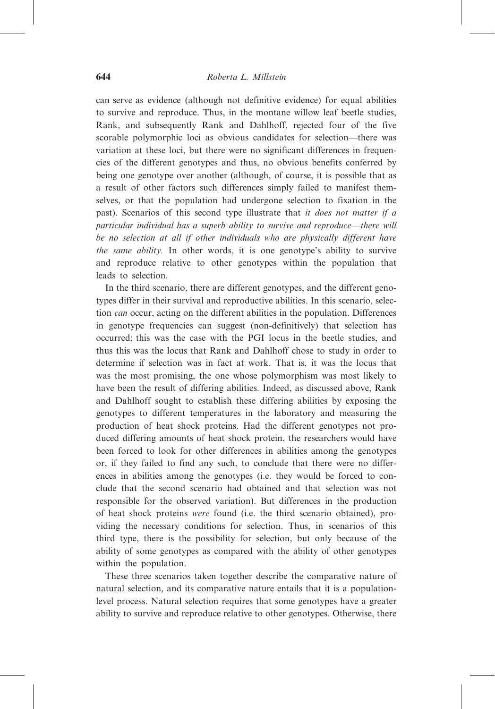can serve as evidence (although not definitive evidence) for equal abilities to survive and reproduce. Thus, in the montane willow leaf beetle studies, Rank, and subsequently Rank and Dahlhoff, rejected four of the five scorable polymorphic loci as obvious candidates for selection—there was variation at these loci, but there were no significant differences in frequencies of the different genotypes and thus, no obvious benefits conferred by being one genotype over another (although, of course, it is possible that as a result of other factors such differences simply failed to manifest themselves, or that the population had undergone selection to fixation in the past). Scenarios of this second type illustrate that it does not matter if a particular individual has a superb ability to survive and reproduce—there will be no selection at all if other individuals who are physically different have the same ability. In other words, it is one genotype's ability to survive and reproduce relative to other genotypes within the population that leads to selection.

In the third scenario, there are different genotypes, and the different genotypes differ in their survival and reproductive abilities. In this scenario, selection can occur, acting on the different abilities in the population. Differences in genotype frequencies can suggest (non-definitively) that selection has occurred; this was the case with the PGI locus in the beetle studies, and thus this was the locus that Rank and Dahlhoff chose to study in order to determine if selection was in fact at work. That is, it was the locus that was the most promising, the one whose polymorphism was most likely to have been the result of differing abilities. Indeed, as discussed above, Rank and Dahlhoff sought to establish these differing abilities by exposing the genotypes to different temperatures in the laboratory and measuring the production of heat shock proteins. Had the different genotypes not produced differing amounts of heat shock protein, the researchers would have been forced to look for other differences in abilities among the genotypes or, if they failed to find any such, to conclude that there were no differences in abilities among the genotypes (i.e. they would be forced to conclude that the second scenario had obtained and that selection was not responsible for the observed variation). But differences in the production of heat shock proteins were found (i.e. the third scenario obtained), providing the necessary conditions for selection. Thus, in scenarios of this third type, there is the possibility for selection, but only because of the ability of some genotypes as compared with the ability of other genotypes within the population.

These three scenarios taken together describe the comparative nature of natural selection, and its comparative nature entails that it is a populationlevel process. Natural selection requires that some genotypes have a greater ability to survive and reproduce relative to other genotypes. Otherwise, there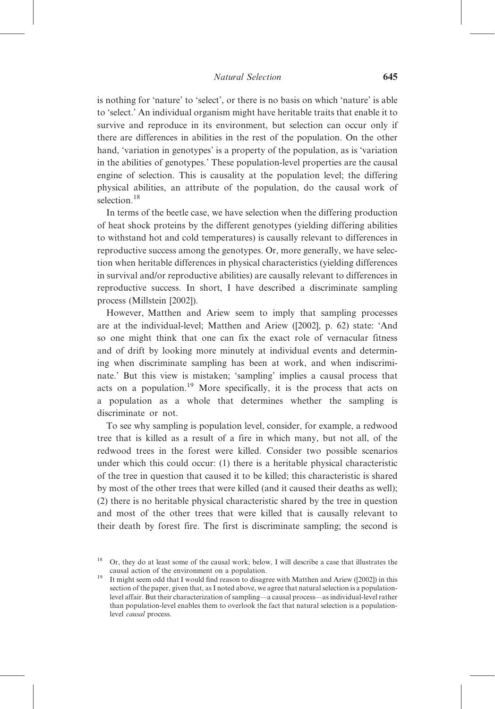is nothing for 'nature' to 'select', or there is no basis on which 'nature' is able to 'select.' An individual organism might have heritable traits that enable it to survive and reproduce in its environment, but selection can occur only if there are differences in abilities in the rest of the population. On the other hand, 'variation in genotypes' is a property of the population, as is 'variation in the abilities of genotypes.' These population-level properties are the causal engine of selection. This is causality at the population level; the differing physical abilities, an attribute of the population, do the causal work of selection<sup>18</sup>

In terms of the beetle case, we have selection when the differing production of heat shock proteins by the different genotypes (yielding differing abilities to withstand hot and cold temperatures) is causally relevant to differences in reproductive success among the genotypes. Or, more generally, we have selection when heritable differences in physical characteristics (yielding differences in survival and/or reproductive abilities) are causally relevant to differences in reproductive success. In short, I have described a discriminate sampling process (Millstein [2002]).

However, Matthen and Ariew seem to imply that sampling processes are at the individual-level; Matthen and Ariew ([2002], p. 62) state: 'And so one might think that one can fix the exact role of vernacular fitness and of drift by looking more minutely at individual events and determining when discriminate sampling has been at work, and when indiscriminate.' But this view is mistaken; 'sampling' implies a causal process that acts on a population.<sup>19</sup> More specifically, it is the process that acts on a population as a whole that determines whether the sampling is discriminate or not.

To see why sampling is population level, consider, for example, a redwood tree that is killed as a result of a fire in which many, but not all, of the redwood trees in the forest were killed. Consider two possible scenarios under which this could occur: (1) there is a heritable physical characteristic of the tree in question that caused it to be killed; this characteristic is shared by most of the other trees that were killed (and it caused their deaths as well); (2) there is no heritable physical characteristic shared by the tree in question and most of the other trees that were killed that is causally relevant to their death by forest fire. The first is discriminate sampling; the second is

<sup>18</sup> Or, they do at least some of the causal work; below, I will describe a case that illustrates the

causal action of the environment on a population. <sup>19</sup> It might seem odd that I would find reason to disagree with Matthen and Ariew ([2002]) in this section of the paper, given that, as I noted above, we agree that natural selection is a populationlevel affair. But their characterization of sampling—a causal process—as individual-level rather than population-level enables them to overlook the fact that natural selection is a populationlevel causal process.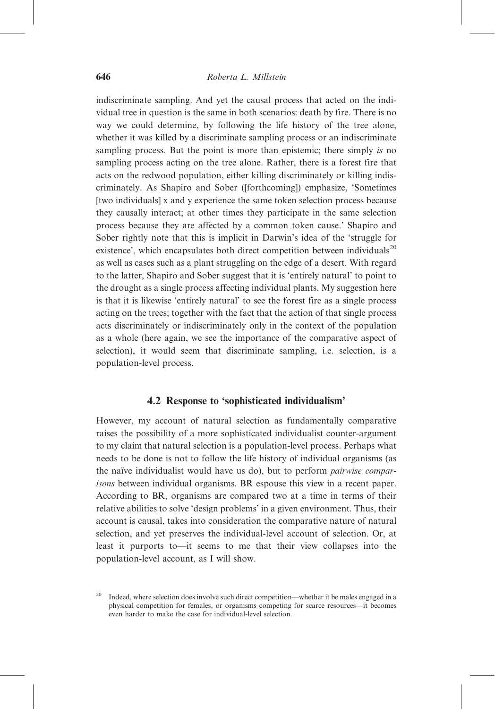indiscriminate sampling. And yet the causal process that acted on the individual tree in question is the same in both scenarios: death by fire. There is no way we could determine, by following the life history of the tree alone, whether it was killed by a discriminate sampling process or an indiscriminate sampling process. But the point is more than epistemic; there simply is no sampling process acting on the tree alone. Rather, there is a forest fire that acts on the redwood population, either killing discriminately or killing indiscriminately. As Shapiro and Sober ([forthcoming]) emphasize, 'Sometimes [two individuals] x and y experience the same token selection process because they causally interact; at other times they participate in the same selection process because they are affected by a common token cause.' Shapiro and Sober rightly note that this is implicit in Darwin's idea of the 'struggle for existence', which encapsulates both direct competition between individuals<sup>20</sup> as well as cases such as a plant struggling on the edge of a desert. With regard to the latter, Shapiro and Sober suggest that it is 'entirely natural' to point to the drought as a single process affecting individual plants. My suggestion here is that it is likewise 'entirely natural' to see the forest fire as a single process acting on the trees; together with the fact that the action of that single process acts discriminately or indiscriminately only in the context of the population as a whole (here again, we see the importance of the comparative aspect of selection), it would seem that discriminate sampling, i.e. selection, is a population-level process.

#### 4.2 Response to 'sophisticated individualism'

However, my account of natural selection as fundamentally comparative raises the possibility of a more sophisticated individualist counter-argument to my claim that natural selection is a population-level process. Perhaps what needs to be done is not to follow the life history of individual organisms (as the naïve individualist would have us do), but to perform *pairwise compar*isons between individual organisms. BR espouse this view in a recent paper. According to BR, organisms are compared two at a time in terms of their relative abilities to solve 'design problems' in a given environment. Thus, their account is causal, takes into consideration the comparative nature of natural selection, and yet preserves the individual-level account of selection. Or, at least it purports to—it seems to me that their view collapses into the population-level account, as I will show.

<sup>&</sup>lt;sup>20</sup> Indeed, where selection does involve such direct competition—whether it be males engaged in a physical competition for females, or organisms competing for scarce resources—it becomes even harder to make the case for individual-level selection.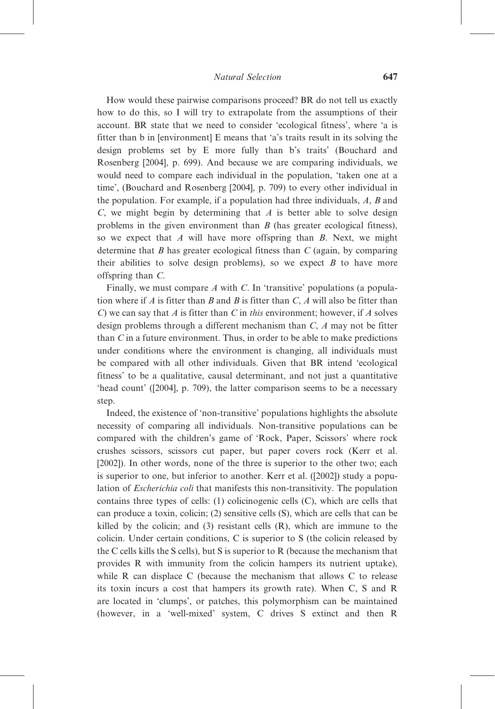How would these pairwise comparisons proceed? BR do not tell us exactly how to do this, so I will try to extrapolate from the assumptions of their account. BR state that we need to consider 'ecological fitness', where 'a is fitter than b in [environment] E means that 'a's traits result in its solving the design problems set by E more fully than b's traits' (Bouchard and Rosenberg [2004], p. 699). And because we are comparing individuals, we would need to compare each individual in the population, 'taken one at a time', (Bouchard and Rosenberg [2004], p. 709) to every other individual in the population. For example, if a population had three individuals, A, B and  $C$ , we might begin by determining that  $A$  is better able to solve design problems in the given environment than B (has greater ecological fitness), so we expect that  $A$  will have more offspring than  $B$ . Next, we might determine that  $B$  has greater ecological fitness than  $C$  (again, by comparing their abilities to solve design problems), so we expect  $B$  to have more offspring than C.

Finally, we must compare  $A$  with  $C$ . In 'transitive' populations (a population where if A is fitter than B and B is fitter than C, A will also be fitter than C) we can say that  $A$  is fitter than  $C$  in this environment; however, if  $A$  solves design problems through a different mechanism than C, A may not be fitter than C in a future environment. Thus, in order to be able to make predictions under conditions where the environment is changing, all individuals must be compared with all other individuals. Given that BR intend 'ecological fitness' to be a qualitative, causal determinant, and not just a quantitative 'head count' ([2004], p. 709), the latter comparison seems to be a necessary step.

Indeed, the existence of 'non-transitive' populations highlights the absolute necessity of comparing all individuals. Non-transitive populations can be compared with the children's game of 'Rock, Paper, Scissors' where rock crushes scissors, scissors cut paper, but paper covers rock (Kerr et al. [2002]). In other words, none of the three is superior to the other two; each is superior to one, but inferior to another. Kerr et al. ([2002]) study a population of Escherichia coli that manifests this non-transitivity. The population contains three types of cells: (1) colicinogenic cells (C), which are cells that can produce a toxin, colicin; (2) sensitive cells (S), which are cells that can be killed by the colicin; and  $(3)$  resistant cells  $(R)$ , which are immune to the colicin. Under certain conditions, C is superior to S (the colicin released by the C cells kills the S cells), but S is superior to R (because the mechanism that provides R with immunity from the colicin hampers its nutrient uptake), while R can displace C (because the mechanism that allows C to release its toxin incurs a cost that hampers its growth rate). When C, S and R are located in 'clumps', or patches, this polymorphism can be maintained (however, in a 'well-mixed' system, C drives S extinct and then R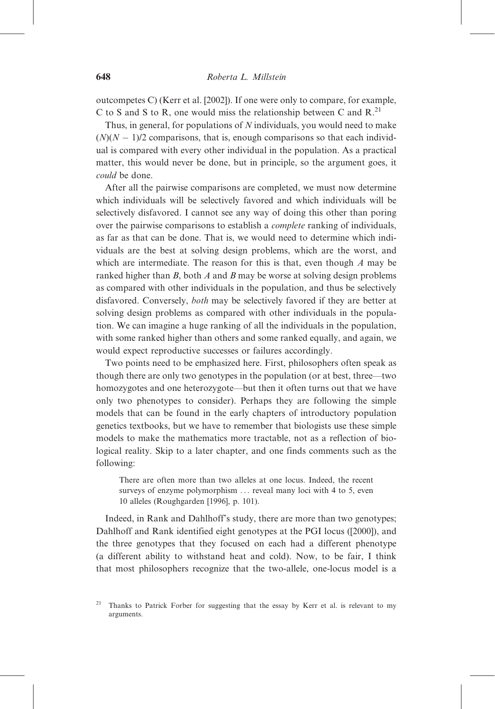outcompetes C) (Kerr et al. [2002]). If one were only to compare, for example, C to S and S to R, one would miss the relationship between C and  $\mathbb{R}^{21}$ 

Thus, in general, for populations of  $N$  individuals, you would need to make  $(N)(N-1)/2$  comparisons, that is, enough comparisons so that each individual is compared with every other individual in the population. As a practical matter, this would never be done, but in principle, so the argument goes, it could be done.

After all the pairwise comparisons are completed, we must now determine which individuals will be selectively favored and which individuals will be selectively disfavored. I cannot see any way of doing this other than poring over the pairwise comparisons to establish a complete ranking of individuals, as far as that can be done. That is, we would need to determine which individuals are the best at solving design problems, which are the worst, and which are intermediate. The reason for this is that, even though  $A$  may be ranked higher than  $B$ , both  $A$  and  $B$  may be worse at solving design problems as compared with other individuals in the population, and thus be selectively disfavored. Conversely, both may be selectively favored if they are better at solving design problems as compared with other individuals in the population. We can imagine a huge ranking of all the individuals in the population, with some ranked higher than others and some ranked equally, and again, we would expect reproductive successes or failures accordingly.

Two points need to be emphasized here. First, philosophers often speak as though there are only two genotypes in the population (or at best, three—two homozygotes and one heterozygote—but then it often turns out that we have only two phenotypes to consider). Perhaps they are following the simple models that can be found in the early chapters of introductory population genetics textbooks, but we have to remember that biologists use these simple models to make the mathematics more tractable, not as a reflection of biological reality. Skip to a later chapter, and one finds comments such as the following:

There are often more than two alleles at one locus. Indeed, the recent surveys of enzyme polymorphism ... reveal many loci with 4 to 5, even 10 alleles (Roughgarden [1996], p. 101).

Indeed, in Rank and Dahlhoff's study, there are more than two genotypes; Dahlhoff and Rank identified eight genotypes at the PGI locus ([2000]), and the three genotypes that they focused on each had a different phenotype (a different ability to withstand heat and cold). Now, to be fair, I think that most philosophers recognize that the two-allele, one-locus model is a

<sup>&</sup>lt;sup>21</sup> Thanks to Patrick Forber for suggesting that the essay by Kerr et al. is relevant to my arguments.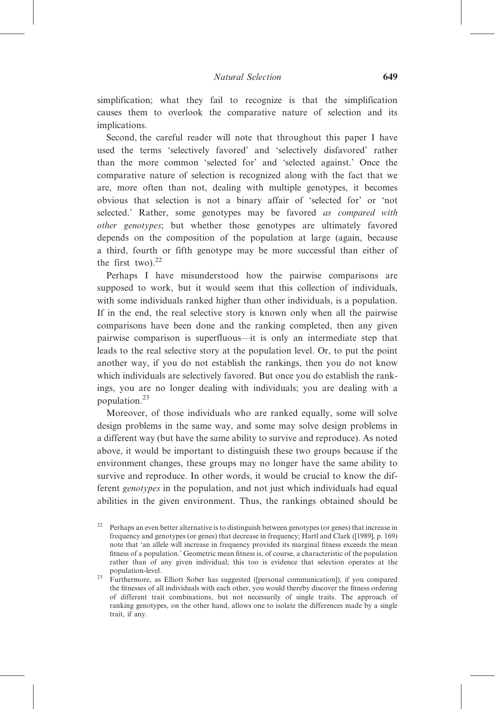simplification; what they fail to recognize is that the simplification causes them to overlook the comparative nature of selection and its implications.

Second, the careful reader will note that throughout this paper I have used the terms 'selectively favored' and 'selectively disfavored' rather than the more common 'selected for' and 'selected against.' Once the comparative nature of selection is recognized along with the fact that we are, more often than not, dealing with multiple genotypes, it becomes obvious that selection is not a binary affair of 'selected for' or 'not selected.' Rather, some genotypes may be favored as compared with other genotypes; but whether those genotypes are ultimately favored depends on the composition of the population at large (again, because a third, fourth or fifth genotype may be more successful than either of the first two). $22$ 

Perhaps I have misunderstood how the pairwise comparisons are supposed to work, but it would seem that this collection of individuals, with some individuals ranked higher than other individuals, is a population. If in the end, the real selective story is known only when all the pairwise comparisons have been done and the ranking completed, then any given pairwise comparison is superfluous—it is only an intermediate step that leads to the real selective story at the population level. Or, to put the point another way, if you do not establish the rankings, then you do not know which individuals are selectively favored. But once you do establish the rankings, you are no longer dealing with individuals; you are dealing with a population.23

Moreover, of those individuals who are ranked equally, some will solve design problems in the same way, and some may solve design problems in a different way (but have the same ability to survive and reproduce). As noted above, it would be important to distinguish these two groups because if the environment changes, these groups may no longer have the same ability to survive and reproduce. In other words, it would be crucial to know the different *genotypes* in the population, and not just which individuals had equal abilities in the given environment. Thus, the rankings obtained should be

<sup>&</sup>lt;sup>22</sup> Perhaps an even better alternative is to distinguish between genotypes (or genes) that increase in frequency and genotypes (or genes) that decrease in frequency; Hartl and Clark ([1989], p. 169) note that 'an allele will increase in frequency provided its marginal fitness exceeds the mean fitness of a population.' Geometric mean fitness is, of course, a characteristic of the population rather than of any given individual; this too is evidence that selection operates at the

population-level. <sup>23</sup> Furthermore, as Elliott Sober has suggested ([personal communication]), if you compared the fitnesses of all individuals with each other, you would thereby discover the fitness ordering of different trait combinations, but not necessarily of single traits. The approach of ranking genotypes, on the other hand, allows one to isolate the differences made by a single trait, if any.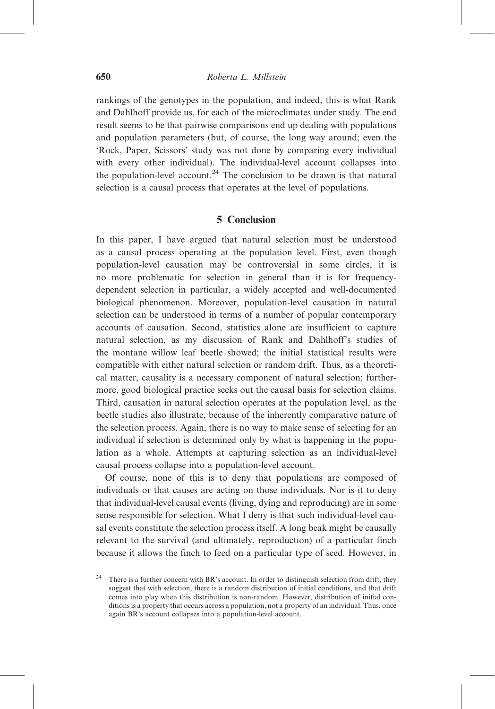rankings of the genotypes in the population, and indeed, this is what Rank and Dahlhoff provide us, for each of the microclimates under study. The end result seems to be that pairwise comparisons end up dealing with populations and population parameters (but, of course, the long way around; even the 'Rock, Paper, Scissors' study was not done by comparing every individual with every other individual). The individual-level account collapses into the population-level account.<sup>24</sup> The conclusion to be drawn is that natural selection is a causal process that operates at the level of populations.

## 5 Conclusion

In this paper, I have argued that natural selection must be understood as a causal process operating at the population level. First, even though population-level causation may be controversial in some circles, it is no more problematic for selection in general than it is for frequencydependent selection in particular, a widely accepted and well-documented biological phenomenon. Moreover, population-level causation in natural selection can be understood in terms of a number of popular contemporary accounts of causation. Second, statistics alone are insufficient to capture natural selection, as my discussion of Rank and Dahlhoff's studies of the montane willow leaf beetle showed; the initial statistical results were compatible with either natural selection or random drift. Thus, as a theoretical matter, causality is a necessary component of natural selection; furthermore, good biological practice seeks out the causal basis for selection claims. Third, causation in natural selection operates at the population level, as the beetle studies also illustrate, because of the inherently comparative nature of the selection process. Again, there is no way to make sense of selecting for an individual if selection is determined only by what is happening in the population as a whole. Attempts at capturing selection as an individual-level causal process collapse into a population-level account.

Of course, none of this is to deny that populations are composed of individuals or that causes are acting on those individuals. Nor is it to deny that individual-level causal events (living, dying and reproducing) are in some sense responsible for selection. What I deny is that such individual-level causal events constitute the selection process itself. A long beak might be causally relevant to the survival (and ultimately, reproduction) of a particular finch because it allows the finch to feed on a particular type of seed. However, in

<sup>&</sup>lt;sup>24</sup> There is a further concern with BR's account. In order to distinguish selection from drift, they suggest that with selection, there is a random distribution of initial conditions, and that drift comes into play when this distribution is non-random. However, distribution of initial conditions is a property that occurs across a population, not a property of an individual. Thus, once again BR's account collapses into a population-level account.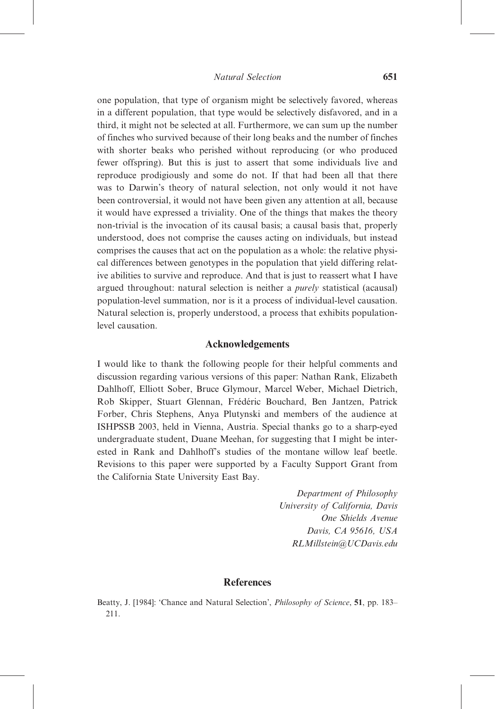one population, that type of organism might be selectively favored, whereas in a different population, that type would be selectively disfavored, and in a third, it might not be selected at all. Furthermore, we can sum up the number of finches who survived because of their long beaks and the number of finches with shorter beaks who perished without reproducing (or who produced fewer offspring). But this is just to assert that some individuals live and reproduce prodigiously and some do not. If that had been all that there was to Darwin's theory of natural selection, not only would it not have been controversial, it would not have been given any attention at all, because it would have expressed a triviality. One of the things that makes the theory non-trivial is the invocation of its causal basis; a causal basis that, properly understood, does not comprise the causes acting on individuals, but instead comprises the causes that act on the population as a whole: the relative physical differences between genotypes in the population that yield differing relative abilities to survive and reproduce. And that is just to reassert what I have argued throughout: natural selection is neither a purely statistical (acausal) population-level summation, nor is it a process of individual-level causation. Natural selection is, properly understood, a process that exhibits populationlevel causation.

#### Acknowledgements

I would like to thank the following people for their helpful comments and discussion regarding various versions of this paper: Nathan Rank, Elizabeth Dahlhoff, Elliott Sober, Bruce Glymour, Marcel Weber, Michael Dietrich, Rob Skipper, Stuart Glennan, Frédéric Bouchard, Ben Jantzen, Patrick Forber, Chris Stephens, Anya Plutynski and members of the audience at ISHPSSB 2003, held in Vienna, Austria. Special thanks go to a sharp-eyed undergraduate student, Duane Meehan, for suggesting that I might be interested in Rank and Dahlhoff's studies of the montane willow leaf beetle. Revisions to this paper were supported by a Faculty Support Grant from the California State University East Bay.

> Department of Philosophy University of California, Davis One Shields Avenue Davis, CA 95616, USA RLMillstein@UCDavis.edu

#### **References**

Beatty, J. [1984]: 'Chance and Natural Selection', *Philosophy of Science*, **51**, pp. 183– 211.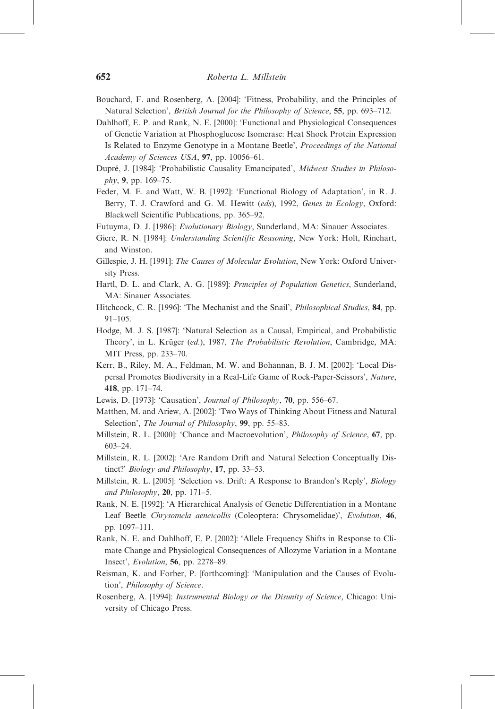- Bouchard, F. and Rosenberg, A. [2004]: 'Fitness, Probability, and the Principles of Natural Selection', British Journal for the Philosophy of Science, 55, pp. 693–712.
- Dahlhoff, E. P. and Rank, N. E. [2000]: 'Functional and Physiological Consequences of Genetic Variation at Phosphoglucose Isomerase: Heat Shock Protein Expression Is Related to Enzyme Genotype in a Montane Beetle', Proceedings of the National Academy of Sciences USA, 97, pp. 10056–61.
- Dupré, J. [1984]: 'Probabilistic Causality Emancipated', Midwest Studies in Philoso $phy, 9, pp. 169-75.$
- Feder, M. E. and Watt, W. B. [1992]: 'Functional Biology of Adaptation', in R. J. Berry, T. J. Crawford and G. M. Hewitt (eds), 1992, Genes in Ecology, Oxford: Blackwell Scientific Publications, pp. 365–92.
- Futuyma, D. J. [1986]: Evolutionary Biology, Sunderland, MA: Sinauer Associates.
- Giere, R. N. [1984]: Understanding Scientific Reasoning, New York: Holt, Rinehart, and Winston.
- Gillespie, J. H. [1991]: The Causes of Molecular Evolution, New York: Oxford University Press.
- Hartl, D. L. and Clark, A. G. [1989]: Principles of Population Genetics, Sunderland, MA: Sinauer Associates.
- Hitchcock, C. R. [1996]: 'The Mechanist and the Snail', *Philosophical Studies*, 84, pp. 91–105.
- Hodge, M. J. S. [1987]: 'Natural Selection as a Causal, Empirical, and Probabilistic Theory', in L. Krüger (ed.), 1987, The Probabilistic Revolution, Cambridge, MA: MIT Press, pp. 233–70.
- Kerr, B., Riley, M. A., Feldman, M. W. and Bohannan, B. J. M. [2002]: 'Local Dispersal Promotes Biodiversity in a Real-Life Game of Rock-Paper-Scissors', Nature, 418, pp. 171–74.
- Lewis, D. [1973]: 'Causation', Journal of Philosophy, 70, pp. 556–67.
- Matthen, M. and Ariew, A. [2002]: 'Two Ways of Thinking About Fitness and Natural Selection', The Journal of Philosophy, 99, pp. 55–83.
- Millstein, R. L. [2000]: 'Chance and Macroevolution', *Philosophy of Science*, 67, pp. 603–24.
- Millstein, R. L. [2002]: 'Are Random Drift and Natural Selection Conceptually Distinct?' Biology and Philosophy, 17, pp. 33-53.
- Millstein, R. L. [2005]: 'Selection vs. Drift: A Response to Brandon's Reply', Biology and Philosophy,  $20$ , pp. 171–5.
- Rank, N. E. [1992]: 'A Hierarchical Analysis of Genetic Differentiation in a Montane Leaf Beetle Chrysomela aeneicollis (Coleoptera: Chrysomelidae)', Evolution, 46, pp. 1097–111.
- Rank, N. E. and Dahlhoff, E. P. [2002]: 'Allele Frequency Shifts in Response to Climate Change and Physiological Consequences of Allozyme Variation in a Montane Insect', Evolution, 56, pp. 2278–89.
- Reisman, K. and Forber, P. [forthcoming]: 'Manipulation and the Causes of Evolution', Philosophy of Science.
- Rosenberg, A. [1994]: Instrumental Biology or the Disunity of Science, Chicago: University of Chicago Press.